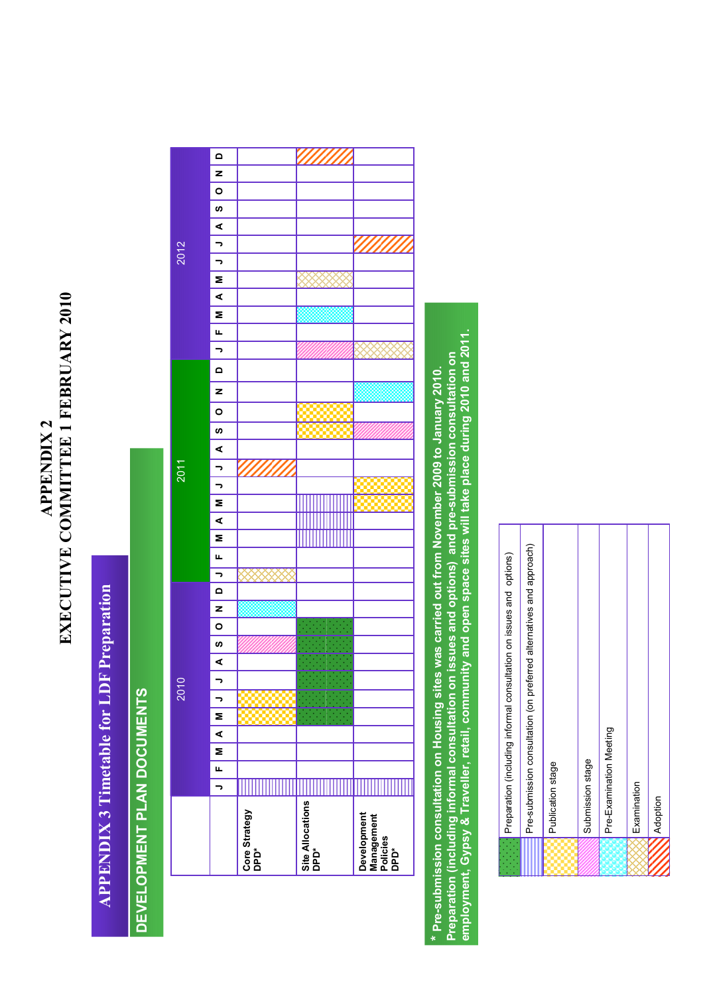## EXECUTIVE COMMITTEE 1 FEBRUARY 2010 EXECUTIVE COMMITTEE 1 FEBRUARY 2010 APPENDIX 2 **APPENDIX 2**

## **APPENDIX 3 Timetable for LDF Preparation** APPENDIX 3 Timetable for LDF Preparation

## DEVELOPMENT PLAN DOCUMENTS DEVELOPMENT PLAN DOCUMENTS

|      | $\Omega$                 |                       |                          |                                               |
|------|--------------------------|-----------------------|--------------------------|-----------------------------------------------|
|      | z                        |                       |                          |                                               |
|      | $\circ$                  |                       |                          |                                               |
|      | ဖာ                       |                       |                          |                                               |
|      | ⋖                        |                       |                          |                                               |
|      |                          |                       |                          |                                               |
| 2012 | っ                        |                       |                          |                                               |
|      | っ                        |                       |                          |                                               |
|      | Σ<br>∢                   |                       |                          |                                               |
|      | Σ                        |                       |                          |                                               |
|      | щ                        |                       |                          |                                               |
|      | $\overline{\phantom{a}}$ |                       |                          |                                               |
|      |                          |                       |                          |                                               |
|      | $\mathbf \Omega$         |                       |                          |                                               |
|      | z                        |                       |                          |                                               |
|      | $\circ$                  |                       |                          |                                               |
|      | ဖာ                       |                       |                          |                                               |
|      | ⋖                        |                       |                          |                                               |
| 2011 | -                        |                       |                          |                                               |
|      | っ                        |                       |                          |                                               |
|      | Σ                        |                       |                          |                                               |
|      | ⋖                        |                       |                          |                                               |
|      | Σ                        |                       |                          |                                               |
|      | щ                        |                       |                          |                                               |
|      | っ                        |                       |                          |                                               |
|      | $\mathbf{\Omega}$        |                       |                          |                                               |
|      | z                        |                       |                          |                                               |
|      | $\circ$                  |                       |                          |                                               |
|      | S                        |                       |                          |                                               |
|      | ⋖                        |                       |                          |                                               |
|      | っ                        |                       |                          |                                               |
| 2010 | っ                        |                       |                          |                                               |
|      | Z                        |                       |                          |                                               |
|      | $\overline{\mathbf{A}}$  |                       |                          |                                               |
|      | $\overline{ }$           |                       |                          |                                               |
|      | u.                       |                       |                          |                                               |
|      | 5                        |                       |                          |                                               |
|      |                          | Core Strategy<br>DPD* | Site Allocations<br>DPD* | Development<br>Management<br>Policies<br>DPD* |
|      |                          |                       |                          |                                               |

Preparation (including informal consultation on issues and options) and pre-submission consultation on<br>employment, Gypsy & Traveller, retail, community and open space sites will take place during 2010 and 2011. employment, Gypsy & Traveller, retail, community and open space sites will take place during 2010 and 2011. Preparation (including informal consultation on issues and options) and pre-submission consultation on \* Pre-submission consultation on Housing sites was carried out from November 2009 to January 2010. \* Pre-submission consultation on Housing sites was carried out from November 2009 to January 2010.